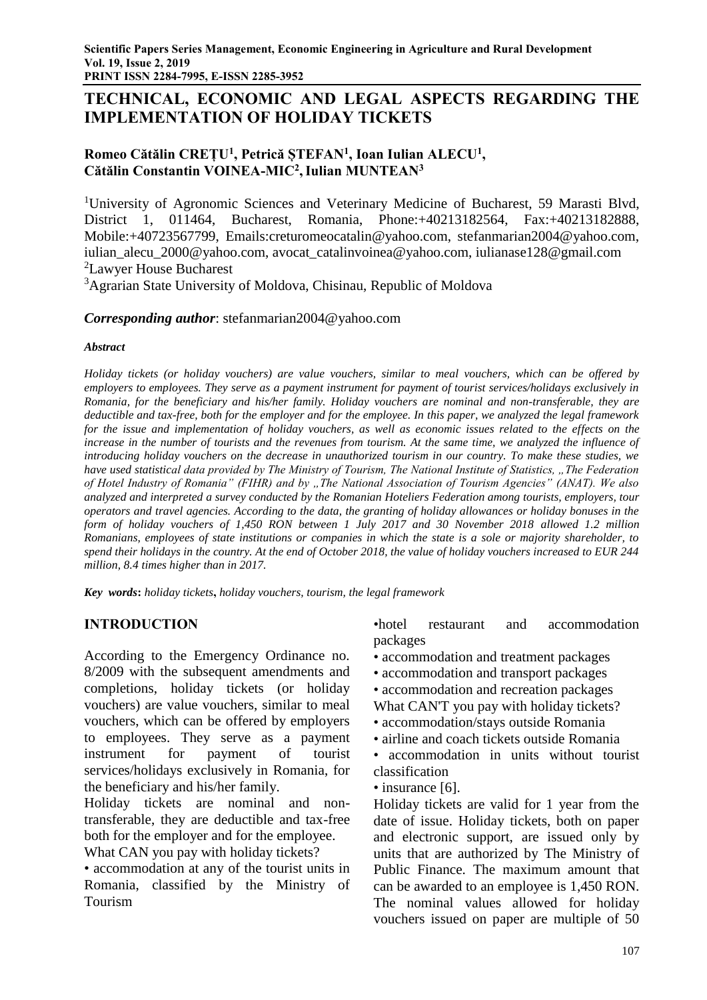# **TECHNICAL, ECONOMIC AND LEGAL ASPECTS REGARDING THE IMPLEMENTATION OF HOLIDAY TICKETS**

## **Romeo Cătălin CREȚU<sup>1</sup> , Petrică ȘTEFAN<sup>1</sup> , Ioan Iulian ALECU<sup>1</sup> , Cătălin Constantin VOINEA-MIC<sup>2</sup> ,Iulian MUNTEAN<sup>3</sup>**

<sup>1</sup>University of Agronomic Sciences and Veterinary Medicine of Bucharest, 59 Marasti Blvd, District 1, 011464, Bucharest, Romania, Phone:+40213182564, Fax:+40213182888, Mobile:+40723567799, Emails:creturomeocatalin@yahoo.com, stefanmarian2004@yahoo.com, iulian\_alecu\_2000@yahoo.com, avocat\_catalinvoinea@yahoo.com, iulianase128@gmail.com <sup>2</sup>Lawyer House Bucharest

<sup>3</sup>Agrarian State University of Moldova, Chisinau, Republic of Moldova

#### *Corresponding author*: stefanmarian2004@yahoo.com

#### *Abstract*

*Holiday tickets (or holiday vouchers) are value vouchers, similar to meal vouchers, which can be offered by employers to employees. They serve as a payment instrument for payment of tourist services/holidays exclusively in Romania, for the beneficiary and his/her family. Holiday vouchers are nominal and non-transferable, they are deductible and tax-free, both for the employer and for the employee. In this paper, we analyzed the legal framework for the issue and implementation of holiday vouchers, as well as economic issues related to the effects on the increase in the number of tourists and the revenues from tourism. At the same time, we analyzed the influence of introducing holiday vouchers on the decrease in unauthorized tourism in our country. To make these studies, we have used statistical data provided by The Ministry of Tourism, The National Institute of Statistics, "The Federation of Hotel Industry of Romania" (FIHR) and by "The National Association of Tourism Agencies" (ANAT). We also analyzed and interpreted a survey conducted by the Romanian Hoteliers Federation among tourists, employers, tour operators and travel agencies. According to the data, the granting of holiday allowances or holiday bonuses in the form of holiday vouchers of 1,450 RON between 1 July 2017 and 30 November 2018 allowed 1.2 million Romanians, employees of state institutions or companies in which the state is a sole or majority shareholder, to spend their holidays in the country. At the end of October 2018, the value of holiday vouchers increased to EUR 244 million, 8.4 times higher than in 2017.* 

*Key words***:** *holiday tickets***,** *holiday vouchers, tourism, the legal framework* 

### **INTRODUCTION**

According to the Emergency Ordinance no. 8/2009 with the subsequent amendments and completions, holiday tickets (or holiday vouchers) are value vouchers, similar to meal vouchers, which can be offered by employers to employees. They serve as a payment instrument for payment of tourist services/holidays exclusively in Romania, for the beneficiary and his/her family.

Holiday tickets are nominal and nontransferable, they are deductible and tax-free both for the employer and for the employee. What CAN you pay with holiday tickets?

• accommodation at any of the tourist units in Romania, classified by the Ministry of Tourism

•hotel restaurant and accommodation packages

- accommodation and treatment packages
- accommodation and transport packages
- accommodation and recreation packages
- What CAN'T you pay with holiday tickets?
- accommodation/stays outside Romania
- airline and coach tickets outside Romania
- accommodation in units without tourist classification
- insurance [6].

Holiday tickets are valid for 1 year from the date of issue. Holiday tickets, both on paper and electronic support, are issued only by units that are authorized by The Ministry of Public Finance. The maximum amount that can be awarded to an employee is 1,450 RON. The nominal values allowed for holiday vouchers issued on paper are multiple of 50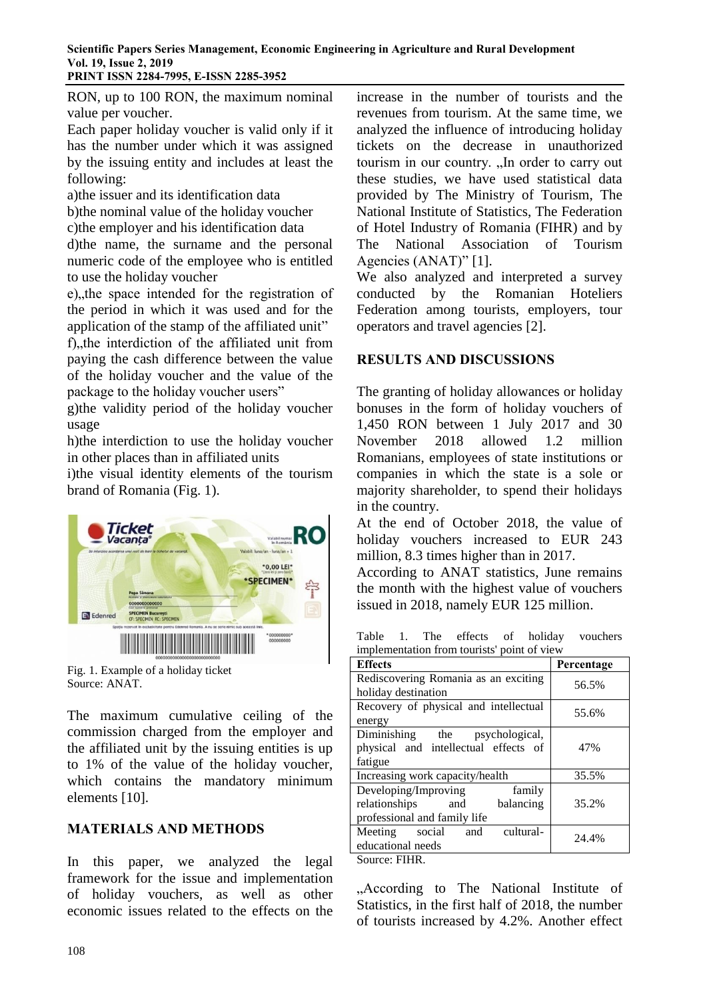RON, up to 100 RON, the maximum nominal value per voucher.

Each paper holiday voucher is valid only if it has the number under which it was assigned by the issuing entity and includes at least the following:

a)the issuer and its identification data

b)the nominal value of the holiday voucher c)the employer and his identification data d)the name, the surname and the personal numeric code of the employee who is entitled to use the holiday voucher

e), the space intended for the registration of the period in which it was used and for the application of the stamp of the affiliated unit"

f), the interdiction of the affiliated unit from paying the cash difference between the value of the holiday voucher and the value of the package to the holiday voucher users"

g)the validity period of the holiday voucher usage

h)the interdiction to use the holiday voucher in other places than in affiliated units

i)the visual identity elements of the tourism brand of Romania (Fig. 1).



Fig. 1. Example of a holiday ticket Source: ANAT.

The maximum cumulative ceiling of the commission charged from the employer and the affiliated unit by the issuing entities is up to 1% of the value of the holiday voucher, which contains the mandatory minimum elements [10].

# **MATERIALS AND METHODS**

In this paper, we analyzed the legal framework for the issue and implementation of holiday vouchers, as well as other economic issues related to the effects on the

increase in the number of tourists and the revenues from tourism. At the same time, we analyzed the influence of introducing holiday tickets on the decrease in unauthorized tourism in our country. "In order to carry out these studies, we have used statistical data provided by The Ministry of Tourism, The National Institute of Statistics, The Federation of Hotel Industry of Romania (FIHR) and by The National Association of Tourism Agencies (ANAT)" [1].

We also analyzed and interpreted a survey conducted by the Romanian Hoteliers Federation among tourists, employers, tour operators and travel agencies [2].

### **RESULTS AND DISCUSSIONS**

The granting of holiday allowances or holiday bonuses in the form of holiday vouchers of 1,450 RON between 1 July 2017 and 30 November 2018 allowed 1.2 million Romanians, employees of state institutions or companies in which the state is a sole or majority shareholder, to spend their holidays in the country.

At the end of October 2018, the value of holiday vouchers increased to EUR 243 million, 8.3 times higher than in 2017.

According to ANAT statistics, June remains the month with the highest value of vouchers issued in 2018, namely EUR 125 million.

Table 1. The effects of holiday vouchers implementation from tourists' point of view

| <i>Imprementation</i> nom tourists    |            |  |  |  |
|---------------------------------------|------------|--|--|--|
| <b>Effects</b>                        | Percentage |  |  |  |
| Rediscovering Romania as an exciting  | 56.5%      |  |  |  |
| holiday destination                   |            |  |  |  |
| Recovery of physical and intellectual | 55.6%      |  |  |  |
| energy                                |            |  |  |  |
| Diminishing<br>the<br>psychological,  |            |  |  |  |
| physical and intellectual effects of  | 47%        |  |  |  |
| fatigue                               |            |  |  |  |
| Increasing work capacity/health       | 35.5%      |  |  |  |
| Developing/Improving<br>family        |            |  |  |  |
| relationships<br>balancing<br>and     | 35.2%      |  |  |  |
| professional and family life          |            |  |  |  |
| cultural-<br>Meeting<br>social<br>and | 24.4%      |  |  |  |
| educational needs                     |            |  |  |  |
| $\alpha$ . $\blacksquare$             |            |  |  |  |

Source: FIHR.

"According to The National Institute of Statistics, in the first half of 2018, the number of tourists increased by 4.2%. Another effect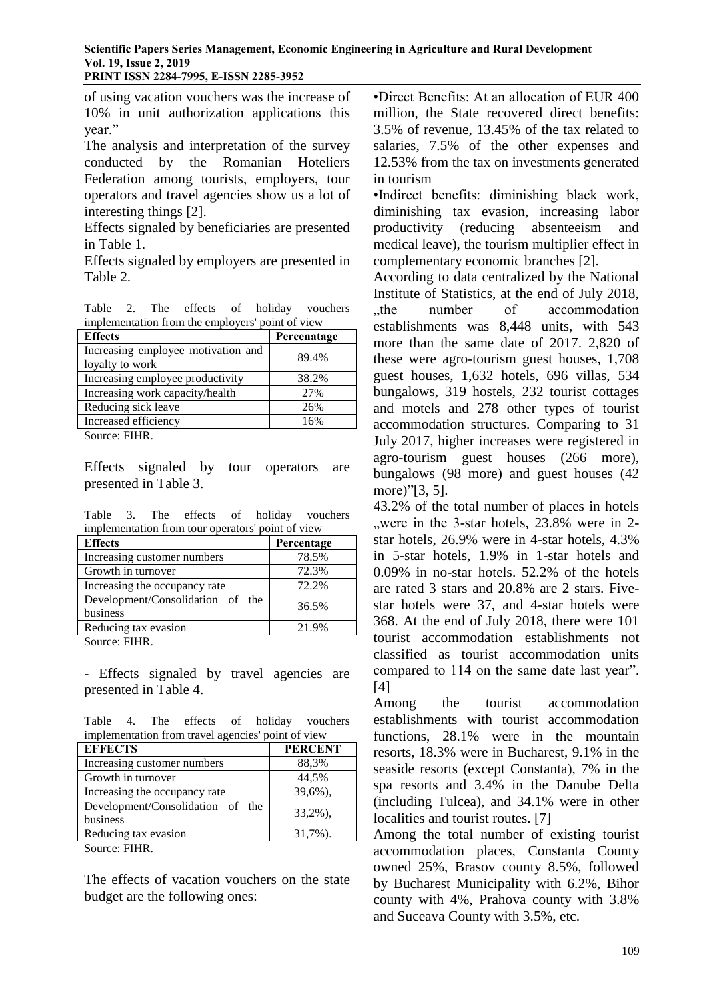of using vacation vouchers was the increase of 10% in unit authorization applications this year."

The analysis and interpretation of the survey conducted by the Romanian Hoteliers Federation among tourists, employers, tour operators and travel agencies show us a lot of interesting things [2].

Effects signaled by beneficiaries are presented in Table 1.

Effects signaled by employers are presented in Table 2.

Table 2. The effects of holiday vouchers implementation from the employers' point of view

| <b>Effects</b>                                        | Percenatage |
|-------------------------------------------------------|-------------|
| Increasing employee motivation and<br>loyalty to work | 89.4%       |
| Increasing employee productivity                      | 38.2%       |
| Increasing work capacity/health                       | 27%         |
| Reducing sick leave                                   | 26%         |
| Increased efficiency                                  | 16%         |
| $S_{OIPCO}$ . EHID                                    |             |

Source: FIHR.

Effects signaled by tour operators are presented in Table 3.

Table 3. The effects of holiday vouchers implementation from tour operators' point of view

| <b>Effects</b>                               | Percentage |
|----------------------------------------------|------------|
| Increasing customer numbers                  | 78.5%      |
| Growth in turnover                           | 72.3%      |
| Increasing the occupancy rate                | 72.2%      |
| Development/Consolidation of the<br>business | 36.5%      |
| Reducing tax evasion                         | 21.9%      |
| $\sim$                                       |            |

Source: FIHR.

- Effects signaled by travel agencies are presented in Table 4.

Table 4. The effects of holiday vouchers implementation from travel agencies' point of view

| <b>EFFECTS</b>                   | <b>PERCENT</b> |
|----------------------------------|----------------|
|                                  |                |
| Increasing customer numbers      | 88,3%          |
| Growth in turnover               | 44,5%          |
| Increasing the occupancy rate    | $39,6\%$ ,     |
| Development/Consolidation of the | $33,2\%$ ).    |
| business                         |                |
| Reducing tax evasion             | $31,7\%$ ).    |

Source: FIHR.

The effects of vacation vouchers on the state budget are the following ones:

•Direct Benefits: At an allocation of EUR 400 million, the State recovered direct benefits: 3.5% of revenue, 13.45% of the tax related to salaries, 7.5% of the other expenses and 12.53% from the tax on investments generated in tourism

•Indirect benefits: diminishing black work, diminishing tax evasion, increasing labor productivity (reducing absenteeism and medical leave), the tourism multiplier effect in complementary economic branches [2].

According to data centralized by the National Institute of Statistics, at the end of July 2018, the number of accommodation establishments was 8,448 units, with 543 more than the same date of 2017. 2,820 of these were agro-tourism guest houses, 1,708 guest houses, 1,632 hotels, 696 villas, 534 bungalows, 319 hostels, 232 tourist cottages and motels and 278 other types of tourist accommodation structures. Comparing to 31 July 2017, higher increases were registered in agro-tourism guest houses (266 more), bungalows (98 more) and guest houses (42 more)"[3, 5].

43.2% of the total number of places in hotels were in the 3-star hotels, 23.8% were in 2star hotels, 26.9% were in 4-star hotels, 4.3% in 5-star hotels, 1.9% in 1-star hotels and 0.09% in no-star hotels. 52.2% of the hotels are rated 3 stars and 20.8% are 2 stars. Fivestar hotels were 37, and 4-star hotels were 368. At the end of July 2018, there were 101 tourist accommodation establishments not classified as tourist accommodation units compared to 114 on the same date last year". [4]

Among the tourist accommodation establishments with tourist accommodation functions, 28.1% were in the mountain resorts, 18.3% were in Bucharest, 9.1% in the seaside resorts (except Constanta), 7% in the spa resorts and 3.4% in the Danube Delta (including Tulcea), and 34.1% were in other localities and tourist routes. [7]

Among the total number of existing tourist accommodation places, Constanta County owned 25%, Brasov county 8.5%, followed by Bucharest Municipality with 6.2%, Bihor county with 4%, Prahova county with 3.8% and Suceava County with 3.5%, etc.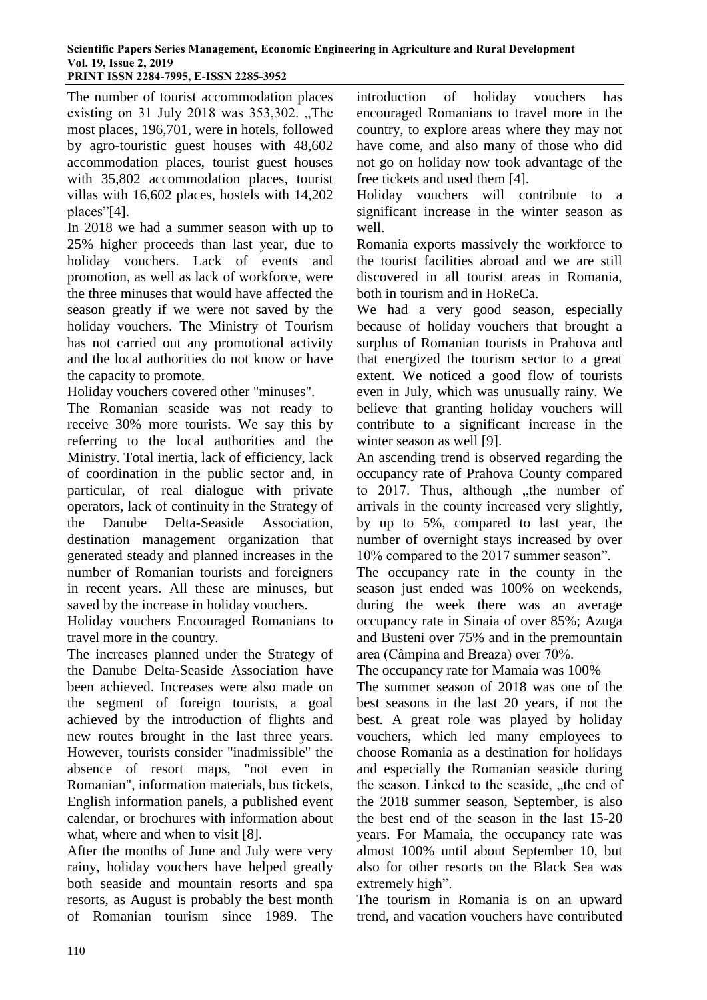#### **Scientific Papers Series Management, Economic Engineering in Agriculture and Rural Development Vol. 19, Issue 2, 2019 PRINT ISSN 2284-7995, E-ISSN 2285-3952**

The number of tourist accommodation places existing on 31 July 2018 was  $353,302$ . The most places, 196,701, were in hotels, followed by agro-touristic guest houses with 48,602 accommodation places, tourist guest houses with 35,802 accommodation places, tourist villas with 16,602 places, hostels with 14,202 places"[4].

In 2018 we had a summer season with up to 25% higher proceeds than last year, due to holiday vouchers. Lack of events and promotion, as well as lack of workforce, were the three minuses that would have affected the season greatly if we were not saved by the holiday vouchers. The Ministry of Tourism has not carried out any promotional activity and the local authorities do not know or have the capacity to promote.

Holiday vouchers covered other "minuses".

The Romanian seaside was not ready to receive 30% more tourists. We say this by referring to the local authorities and the Ministry. Total inertia, lack of efficiency, lack of coordination in the public sector and, in particular, of real dialogue with private operators, lack of continuity in the Strategy of the Danube Delta-Seaside Association, destination management organization that generated steady and planned increases in the number of Romanian tourists and foreigners in recent years. All these are minuses, but saved by the increase in holiday vouchers.

Holiday vouchers Encouraged Romanians to travel more in the country.

The increases planned under the Strategy of the Danube Delta-Seaside Association have been achieved. Increases were also made on the segment of foreign tourists, a goal achieved by the introduction of flights and new routes brought in the last three years. However, tourists consider "inadmissible" the absence of resort maps, "not even in Romanian", information materials, bus tickets, English information panels, a published event calendar, or brochures with information about what, where and when to visit [8].

After the months of June and July were very rainy, holiday vouchers have helped greatly both seaside and mountain resorts and spa resorts, as August is probably the best month of Romanian tourism since 1989. The

introduction of holiday vouchers has encouraged Romanians to travel more in the country, to explore areas where they may not have come, and also many of those who did not go on holiday now took advantage of the free tickets and used them [4].

Holiday vouchers will contribute to a significant increase in the winter season as well.

Romania exports massively the workforce to the tourist facilities abroad and we are still discovered in all tourist areas in Romania, both in tourism and in HoReCa.

We had a very good season, especially because of holiday vouchers that brought a surplus of Romanian tourists in Prahova and that energized the tourism sector to a great extent. We noticed a good flow of tourists even in July, which was unusually rainy. We believe that granting holiday vouchers will contribute to a significant increase in the winter season as well [9].

An ascending trend is observed regarding the occupancy rate of Prahova County compared to 2017. Thus, although , the number of arrivals in the county increased very slightly, by up to 5%, compared to last year, the number of overnight stays increased by over 10% compared to the 2017 summer season".

The occupancy rate in the county in the season just ended was 100% on weekends, during the week there was an average occupancy rate in Sinaia of over 85%; Azuga and Busteni over 75% and in the premountain area (Câmpina and Breaza) over 70%.

The occupancy rate for Mamaia was 100%

The summer season of 2018 was one of the best seasons in the last 20 years, if not the best. A great role was played by holiday vouchers, which led many employees to choose Romania as a destination for holidays and especially the Romanian seaside during the season. Linked to the seaside, "the end of the 2018 summer season, September, is also the best end of the season in the last 15-20 years. For Mamaia, the occupancy rate was almost 100% until about September 10, but also for other resorts on the Black Sea was extremely high".

The tourism in Romania is on an upward trend, and vacation vouchers have contributed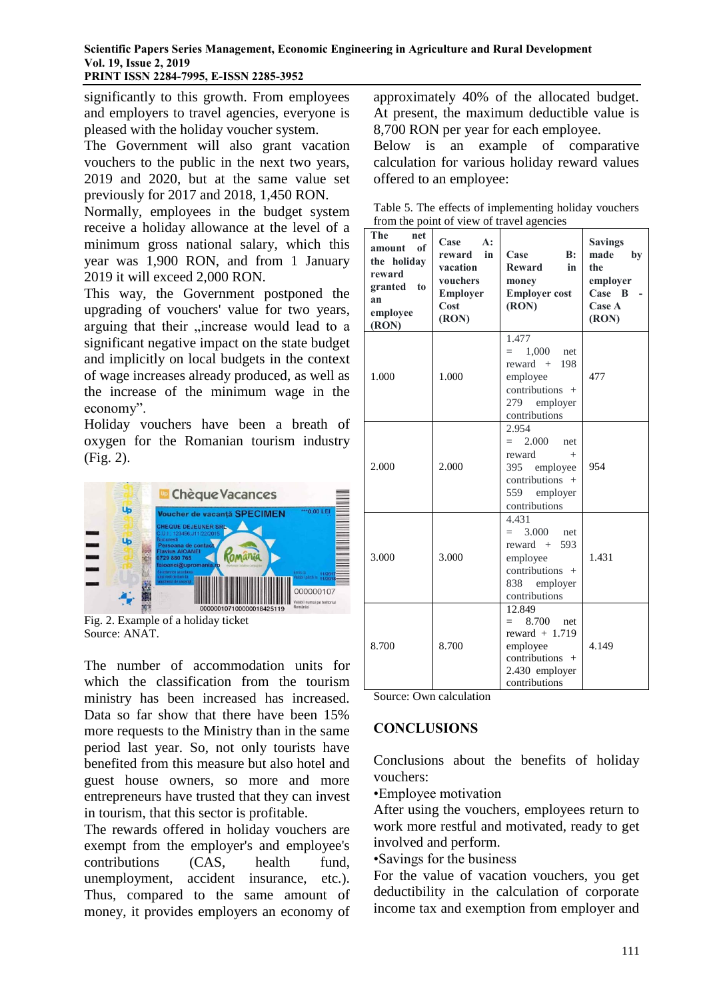## **Scientific Papers Series Management, Economic Engineering in Agriculture and Rural Development Vol. 19, Issue 2, 2019**

**PRINT ISSN 2284-7995, E-ISSN 2285-3952** 

significantly to this growth. From employees and employers to travel agencies, everyone is pleased with the holiday voucher system.

The Government will also grant vacation vouchers to the public in the next two years, 2019 and 2020, but at the same value set previously for 2017 and 2018, 1,450 RON.

Normally, employees in the budget system receive a holiday allowance at the level of a minimum gross national salary, which this year was 1,900 RON, and from 1 January 2019 it will exceed 2,000 RON.

This way, the Government postponed the upgrading of vouchers' value for two years, arguing that their "increase would lead to a significant negative impact on the state budget and implicitly on local budgets in the context of wage increases already produced, as well as the increase of the minimum wage in the economy".

Holiday vouchers have been a breath of oxygen for the Romanian tourism industry (Fig. 2).



Fig. 2. Example of a holiday ticket Source: ANAT.

The number of accommodation units for which the classification from the tourism ministry has been increased has increased. Data so far show that there have been 15% more requests to the Ministry than in the same period last year. So, not only tourists have benefited from this measure but also hotel and guest house owners, so more and more entrepreneurs have trusted that they can invest in tourism, that this sector is profitable.

The rewards offered in holiday vouchers are exempt from the employer's and employee's contributions (CAS, health fund, unemployment, accident insurance, etc.). Thus, compared to the same amount of money, it provides employers an economy of

approximately 40% of the allocated budget. At present, the maximum deductible value is 8,700 RON per year for each employee.

Below is an example of comparative calculation for various holiday reward values offered to an employee:

|                                           |                           |  | Table 5. The effects of implementing holiday vouchers |  |
|-------------------------------------------|---------------------------|--|-------------------------------------------------------|--|
| from the point of view of travel agencies |                           |  |                                                       |  |
|                                           | <b>THE STATE OF STATE</b> |  |                                                       |  |

| The<br>net<br>of<br>amount<br>the holiday<br>reward<br>to<br>granted<br>an<br>employee<br>(RON) | Case<br>$A$ :<br>in<br>reward<br>vacation<br>vouchers<br><b>Employer</b><br>Cost<br>(RON) | Case<br>$\bf{B}$ :<br><b>Reward</b><br>in<br>money<br><b>Employer cost</b><br>(RON)                                       | <b>Savings</b><br>made<br>by<br>the<br>employer<br>Case B<br>Case A<br>(RON) |
|-------------------------------------------------------------------------------------------------|-------------------------------------------------------------------------------------------|---------------------------------------------------------------------------------------------------------------------------|------------------------------------------------------------------------------|
| 1.000                                                                                           | 1.000                                                                                     | 1.477<br>1,000<br>$=$<br>net<br>198<br>$reward +$<br>employee<br>contributions<br>$+$<br>279<br>employer<br>contributions | 477                                                                          |
| 2.000                                                                                           | 2.000                                                                                     | 2.954<br>2.000<br>net.<br>$=$<br>reward<br>$^{+}$<br>395 employee<br>contributions $+$<br>559 employer<br>contributions   | 954                                                                          |
| 3.000                                                                                           | 3.000                                                                                     | 4.431<br>3.000<br>$=$<br>net<br>reward +<br>593<br>employee<br>$contributions +$<br>838<br>employer<br>contributions      | 1.431                                                                        |
| 8.700                                                                                           | 8.700                                                                                     | 12.849<br>8.700<br>$=$<br>net<br>reward $+1.719$<br>employee<br>$contributions +$<br>2.430 employer<br>contributions      | 4.149                                                                        |

Source: Own calculation

### **CONCLUSIONS**

Conclusions about the benefits of holiday vouchers:

•Employee motivation

After using the vouchers, employees return to work more restful and motivated, ready to get involved and perform.

•Savings for the business

For the value of vacation vouchers, you get deductibility in the calculation of corporate income tax and exemption from employer and